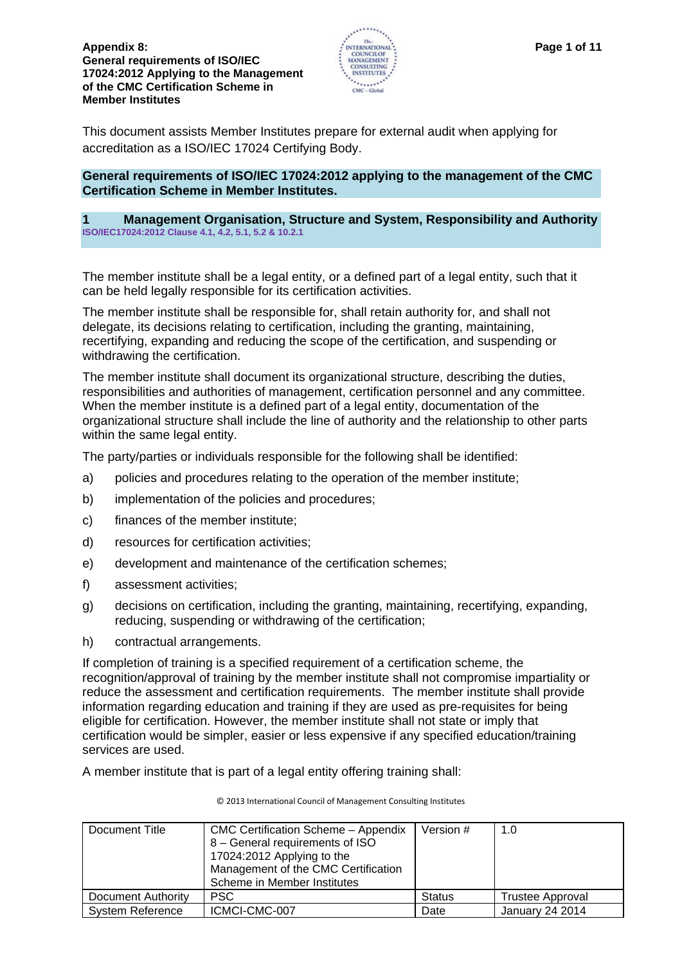

This document assists Member Institutes prepare for external audit when applying for accreditation as a ISO/IEC 17024 Certifying Body.

## **General requirements of ISO/IEC 17024:2012 applying to the management of the CMC Certification Scheme in Member Institutes.**

## **1 Management Organisation, Structure and System, Responsibility and Authority ISO/IEC17024:2012 Clause 4.1, 4.2, 5.1, 5.2 & 10.2.1**

The member institute shall be a legal entity, or a defined part of a legal entity, such that it can be held legally responsible for its certification activities.

The member institute shall be responsible for, shall retain authority for, and shall not delegate, its decisions relating to certification, including the granting, maintaining, recertifying, expanding and reducing the scope of the certification, and suspending or withdrawing the certification.

The member institute shall document its organizational structure, describing the duties, responsibilities and authorities of management, certification personnel and any committee. When the member institute is a defined part of a legal entity, documentation of the organizational structure shall include the line of authority and the relationship to other parts within the same legal entity.

The party/parties or individuals responsible for the following shall be identified:

- a) policies and procedures relating to the operation of the member institute;
- b) implementation of the policies and procedures;
- c) finances of the member institute;
- d) resources for certification activities;
- e) development and maintenance of the certification schemes;
- f) assessment activities;
- g) decisions on certification, including the granting, maintaining, recertifying, expanding, reducing, suspending or withdrawing of the certification;
- h) contractual arrangements.

If completion of training is a specified requirement of a certification scheme, the recognition/approval of training by the member institute shall not compromise impartiality or reduce the assessment and certification requirements. The member institute shall provide information regarding education and training if they are used as pre-requisites for being eligible for certification. However, the member institute shall not state or imply that certification would be simpler, easier or less expensive if any specified education/training services are used.

A member institute that is part of a legal entity offering training shall:

| Document Title          | <b>CMC Certification Scheme - Appendix</b><br>8 - General requirements of ISO<br>17024:2012 Applying to the<br>Management of the CMC Certification<br>Scheme in Member Institutes | Version #     | 1.0                     |
|-------------------------|-----------------------------------------------------------------------------------------------------------------------------------------------------------------------------------|---------------|-------------------------|
| Document Authority      | <b>PSC</b>                                                                                                                                                                        | <b>Status</b> | <b>Trustee Approval</b> |
| <b>System Reference</b> | ICMCI-CMC-007                                                                                                                                                                     | Date          | January 24 2014         |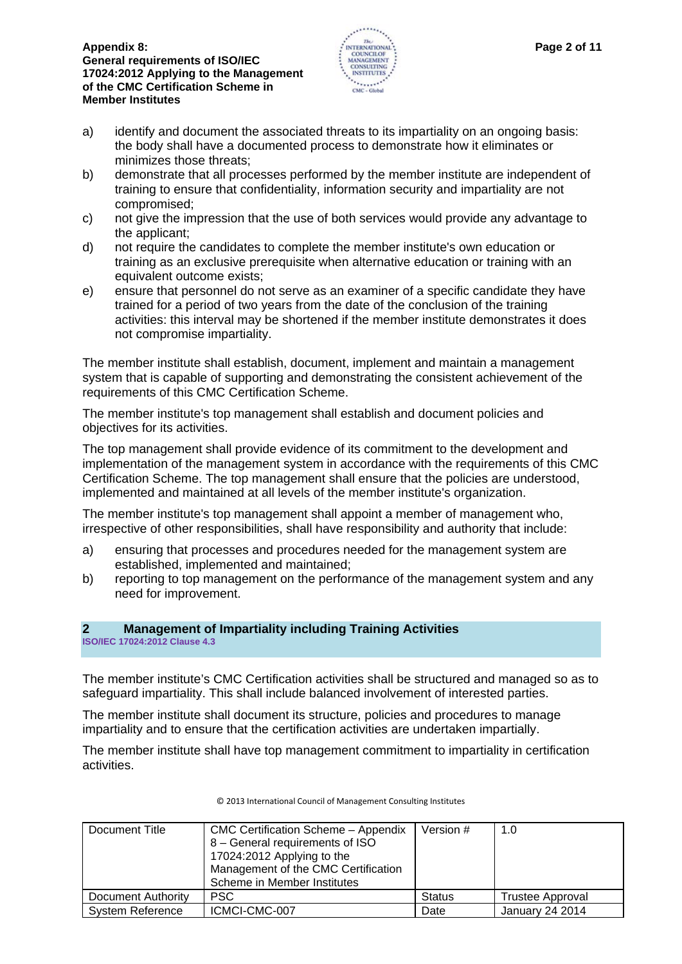

- a) identify and document the associated threats to its impartiality on an ongoing basis: the body shall have a documented process to demonstrate how it eliminates or minimizes those threats;
- b) demonstrate that all processes performed by the member institute are independent of training to ensure that confidentiality, information security and impartiality are not compromised;
- c) not give the impression that the use of both services would provide any advantage to the applicant;
- d) not require the candidates to complete the member institute's own education or training as an exclusive prerequisite when alternative education or training with an equivalent outcome exists;
- e) ensure that personnel do not serve as an examiner of a specific candidate they have trained for a period of two years from the date of the conclusion of the training activities: this interval may be shortened if the member institute demonstrates it does not compromise impartiality.

The member institute shall establish, document, implement and maintain a management system that is capable of supporting and demonstrating the consistent achievement of the requirements of this CMC Certification Scheme.

The member institute's top management shall establish and document policies and objectives for its activities.

The top management shall provide evidence of its commitment to the development and implementation of the management system in accordance with the requirements of this CMC Certification Scheme. The top management shall ensure that the policies are understood, implemented and maintained at all levels of the member institute's organization.

The member institute's top management shall appoint a member of management who, irrespective of other responsibilities, shall have responsibility and authority that include:

- a) ensuring that processes and procedures needed for the management system are established, implemented and maintained;
- b) reporting to top management on the performance of the management system and any need for improvement.

# **2 Management of Impartiality including Training Activities**

**ISO/IEC 17024:2012 Clause 4.3** 

The member institute's CMC Certification activities shall be structured and managed so as to safeguard impartiality. This shall include balanced involvement of interested parties.

The member institute shall document its structure, policies and procedures to manage impartiality and to ensure that the certification activities are undertaken impartially.

The member institute shall have top management commitment to impartiality in certification activities.

| Document Title          | CMC Certification Scheme - Appendix<br>8 - General requirements of ISO<br>17024:2012 Applying to the<br>Management of the CMC Certification<br>Scheme in Member Institutes | Version #     | 1.0                     |
|-------------------------|----------------------------------------------------------------------------------------------------------------------------------------------------------------------------|---------------|-------------------------|
| Document Authority      | <b>PSC</b>                                                                                                                                                                 | <b>Status</b> | <b>Trustee Approval</b> |
| <b>System Reference</b> | ICMCI-CMC-007                                                                                                                                                              | Date          | <b>January 24 2014</b>  |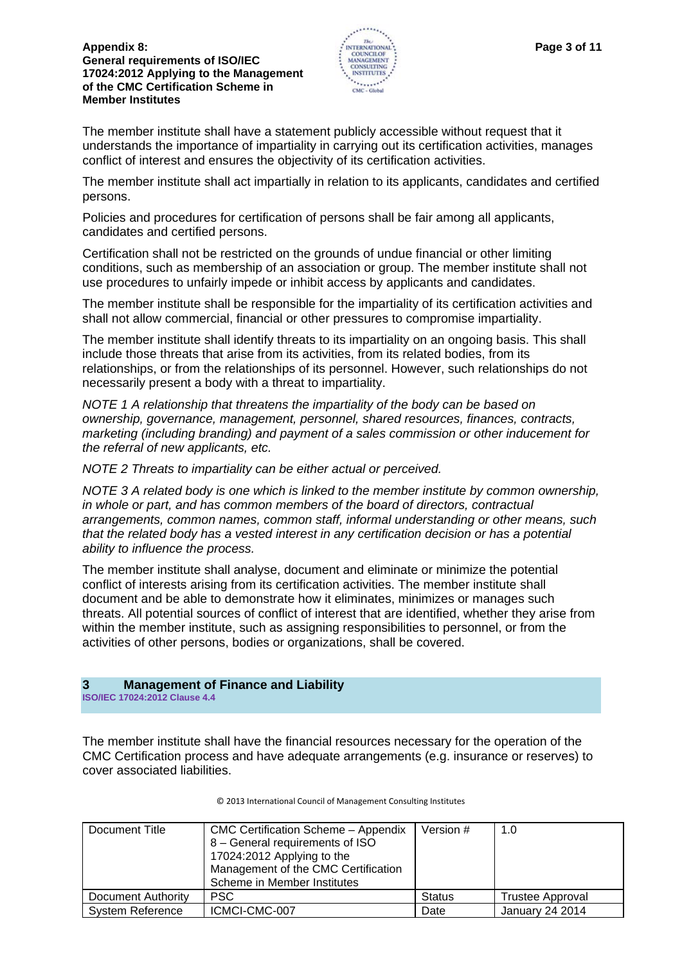

The member institute shall have a statement publicly accessible without request that it understands the importance of impartiality in carrying out its certification activities, manages conflict of interest and ensures the objectivity of its certification activities.

The member institute shall act impartially in relation to its applicants, candidates and certified persons.

Policies and procedures for certification of persons shall be fair among all applicants, candidates and certified persons.

Certification shall not be restricted on the grounds of undue financial or other limiting conditions, such as membership of an association or group. The member institute shall not use procedures to unfairly impede or inhibit access by applicants and candidates.

The member institute shall be responsible for the impartiality of its certification activities and shall not allow commercial, financial or other pressures to compromise impartiality.

The member institute shall identify threats to its impartiality on an ongoing basis. This shall include those threats that arise from its activities, from its related bodies, from its relationships, or from the relationships of its personnel. However, such relationships do not necessarily present a body with a threat to impartiality.

*NOTE 1 A relationship that threatens the impartiality of the body can be based on ownership, governance, management, personnel, shared resources, finances, contracts, marketing (including branding) and payment of a sales commission or other inducement for the referral of new applicants, etc.*

*NOTE 2 Threats to impartiality can be either actual or perceived.*

*NOTE 3 A related body is one which is linked to the member institute by common ownership, in whole or part, and has common members of the board of directors, contractual arrangements, common names, common staff, informal understanding or other means, such that the related body has a vested interest in any certification decision or has a potential ability to influence the process.*

The member institute shall analyse, document and eliminate or minimize the potential conflict of interests arising from its certification activities. The member institute shall document and be able to demonstrate how it eliminates, minimizes or manages such threats. All potential sources of conflict of interest that are identified, whether they arise from within the member institute, such as assigning responsibilities to personnel, or from the activities of other persons, bodies or organizations, shall be covered.

# **3 Management of Finance and Liability**

**ISO/IEC 17024:2012 Clause 4.4** 

The member institute shall have the financial resources necessary for the operation of the CMC Certification process and have adequate arrangements (e.g. insurance or reserves) to cover associated liabilities.

| Document Title          | CMC Certification Scheme - Appendix<br>8 - General requirements of ISO<br>17024:2012 Applying to the<br>Management of the CMC Certification<br>Scheme in Member Institutes | Version #     | 1.0                     |
|-------------------------|----------------------------------------------------------------------------------------------------------------------------------------------------------------------------|---------------|-------------------------|
|                         |                                                                                                                                                                            |               |                         |
| Document Authority      | <b>PSC</b>                                                                                                                                                                 | <b>Status</b> | <b>Trustee Approval</b> |
| <b>System Reference</b> | ICMCI-CMC-007                                                                                                                                                              | Date          | <b>January 24 2014</b>  |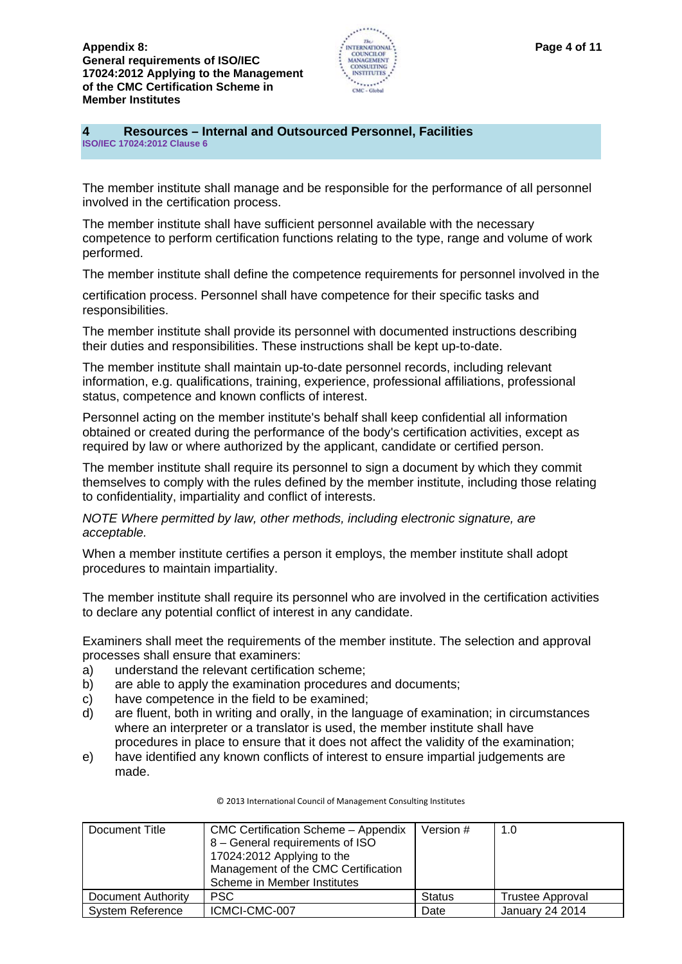

#### **4 Resources – Internal and Outsourced Personnel, Facilities ISO/IEC 17024:2012 Clause 6**

The member institute shall manage and be responsible for the performance of all personnel involved in the certification process.

The member institute shall have sufficient personnel available with the necessary competence to perform certification functions relating to the type, range and volume of work performed.

The member institute shall define the competence requirements for personnel involved in the

certification process. Personnel shall have competence for their specific tasks and responsibilities.

The member institute shall provide its personnel with documented instructions describing their duties and responsibilities. These instructions shall be kept up-to-date.

The member institute shall maintain up-to-date personnel records, including relevant information, e.g. qualifications, training, experience, professional affiliations, professional status, competence and known conflicts of interest.

Personnel acting on the member institute's behalf shall keep confidential all information obtained or created during the performance of the body's certification activities, except as required by law or where authorized by the applicant, candidate or certified person.

The member institute shall require its personnel to sign a document by which they commit themselves to comply with the rules defined by the member institute, including those relating to confidentiality, impartiality and conflict of interests.

*NOTE Where permitted by law, other methods, including electronic signature, are acceptable.*

When a member institute certifies a person it employs, the member institute shall adopt procedures to maintain impartiality.

The member institute shall require its personnel who are involved in the certification activities to declare any potential conflict of interest in any candidate.

Examiners shall meet the requirements of the member institute. The selection and approval processes shall ensure that examiners:

- a) understand the relevant certification scheme;
- b) are able to apply the examination procedures and documents;
- c) have competence in the field to be examined;
- d) are fluent, both in writing and orally, in the language of examination; in circumstances where an interpreter or a translator is used, the member institute shall have procedures in place to ensure that it does not affect the validity of the examination;
- e) have identified any known conflicts of interest to ensure impartial judgements are made.

| Document Title            | <b>CMC Certification Scheme - Appendix</b><br>8 - General requirements of ISO<br>17024:2012 Applying to the<br>Management of the CMC Certification<br>Scheme in Member Institutes | Version #     | 1.0              |
|---------------------------|-----------------------------------------------------------------------------------------------------------------------------------------------------------------------------------|---------------|------------------|
| <b>Document Authority</b> | <b>PSC</b>                                                                                                                                                                        | <b>Status</b> | Trustee Approval |
| <b>System Reference</b>   | ICMCI-CMC-007                                                                                                                                                                     | Date          | January 24 2014  |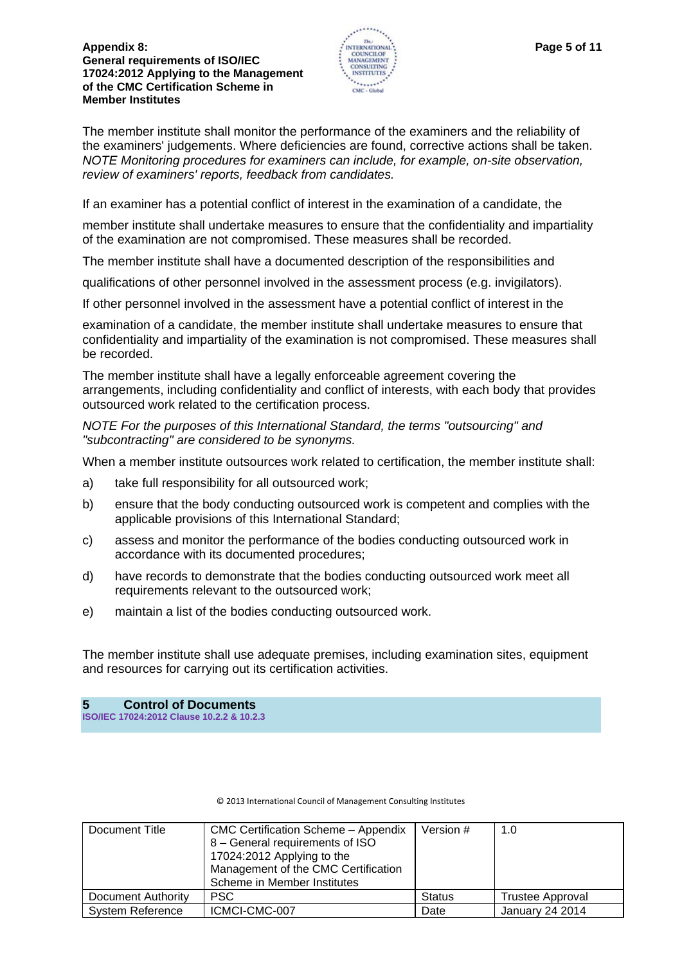

The member institute shall monitor the performance of the examiners and the reliability of the examiners' judgements. Where deficiencies are found, corrective actions shall be taken. *NOTE Monitoring procedures for examiners can include, for example, on-site observation, review of examiners' reports, feedback from candidates.*

If an examiner has a potential conflict of interest in the examination of a candidate, the

member institute shall undertake measures to ensure that the confidentiality and impartiality of the examination are not compromised. These measures shall be recorded.

The member institute shall have a documented description of the responsibilities and

qualifications of other personnel involved in the assessment process (e.g. invigilators).

If other personnel involved in the assessment have a potential conflict of interest in the

examination of a candidate, the member institute shall undertake measures to ensure that confidentiality and impartiality of the examination is not compromised. These measures shall be recorded.

The member institute shall have a legally enforceable agreement covering the arrangements, including confidentiality and conflict of interests, with each body that provides outsourced work related to the certification process.

*NOTE For the purposes of this International Standard, the terms "outsourcing" and "subcontracting" are considered to be synonyms.*

When a member institute outsources work related to certification, the member institute shall:

- a) take full responsibility for all outsourced work;
- b) ensure that the body conducting outsourced work is competent and complies with the applicable provisions of this International Standard;
- c) assess and monitor the performance of the bodies conducting outsourced work in accordance with its documented procedures;
- d) have records to demonstrate that the bodies conducting outsourced work meet all requirements relevant to the outsourced work;
- e) maintain a list of the bodies conducting outsourced work.

The member institute shall use adequate premises, including examination sites, equipment and resources for carrying out its certification activities.

**5 Control of Documents ISO/IEC 17024:2012 Clause 10.2.2 & 10.2.3** 

| Document Title          | <b>CMC Certification Scheme - Appendix</b><br>8 - General requirements of ISO | Version #     | 1.0                     |
|-------------------------|-------------------------------------------------------------------------------|---------------|-------------------------|
|                         | 17024:2012 Applying to the                                                    |               |                         |
|                         | Management of the CMC Certification                                           |               |                         |
|                         | Scheme in Member Institutes                                                   |               |                         |
| Document Authority      | <b>PSC</b>                                                                    | <b>Status</b> | <b>Trustee Approval</b> |
| <b>System Reference</b> | ICMCI-CMC-007                                                                 | Date          | <b>January 24 2014</b>  |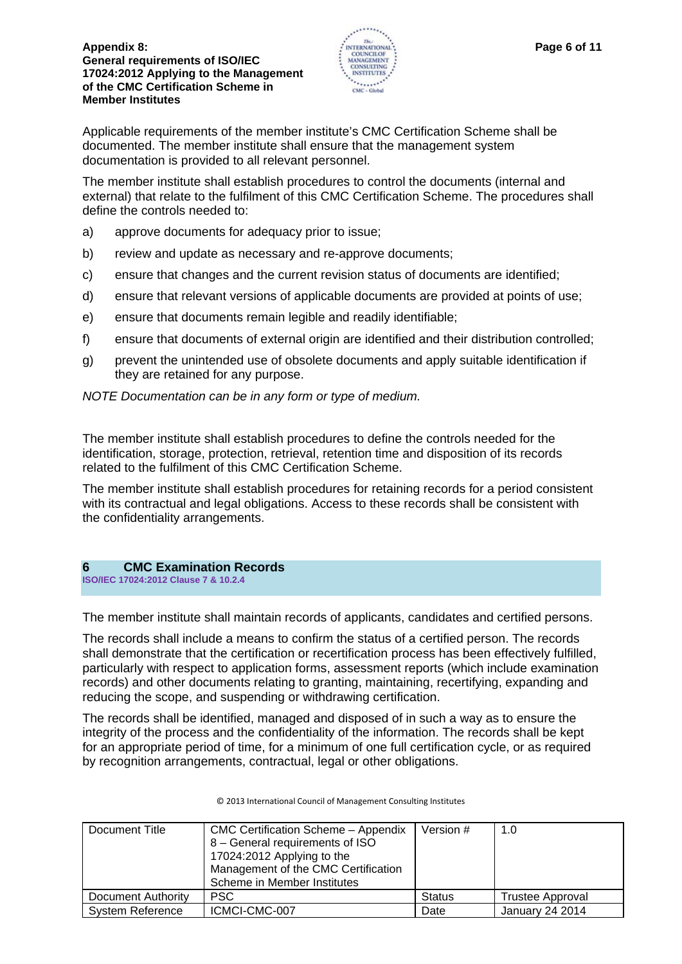

Applicable requirements of the member institute's CMC Certification Scheme shall be documented. The member institute shall ensure that the management system documentation is provided to all relevant personnel.

The member institute shall establish procedures to control the documents (internal and external) that relate to the fulfilment of this CMC Certification Scheme. The procedures shall define the controls needed to:

- a) approve documents for adequacy prior to issue;
- b) review and update as necessary and re-approve documents;
- c) ensure that changes and the current revision status of documents are identified;
- d) ensure that relevant versions of applicable documents are provided at points of use;
- e) ensure that documents remain legible and readily identifiable;
- f) ensure that documents of external origin are identified and their distribution controlled;
- g) prevent the unintended use of obsolete documents and apply suitable identification if they are retained for any purpose.

*NOTE Documentation can be in any form or type of medium.*

The member institute shall establish procedures to define the controls needed for the identification, storage, protection, retrieval, retention time and disposition of its records related to the fulfilment of this CMC Certification Scheme.

The member institute shall establish procedures for retaining records for a period consistent with its contractual and legal obligations. Access to these records shall be consistent with the confidentiality arrangements.

## **6 CMC Examination Records**

**ISO/IEC 17024:2012 Clause 7 & 10.2.4** 

The member institute shall maintain records of applicants, candidates and certified persons.

The records shall include a means to confirm the status of a certified person. The records shall demonstrate that the certification or recertification process has been effectively fulfilled, particularly with respect to application forms, assessment reports (which include examination records) and other documents relating to granting, maintaining, recertifying, expanding and reducing the scope, and suspending or withdrawing certification.

The records shall be identified, managed and disposed of in such a way as to ensure the integrity of the process and the confidentiality of the information. The records shall be kept for an appropriate period of time, for a minimum of one full certification cycle, or as required by recognition arrangements, contractual, legal or other obligations.

| Document Title          | <b>CMC Certification Scheme - Appendix</b><br>8 - General requirements of ISO<br>17024:2012 Applying to the<br>Management of the CMC Certification<br>Scheme in Member Institutes | Version #     | 1.0                     |
|-------------------------|-----------------------------------------------------------------------------------------------------------------------------------------------------------------------------------|---------------|-------------------------|
| Document Authority      | <b>PSC</b>                                                                                                                                                                        | <b>Status</b> | <b>Trustee Approval</b> |
| <b>System Reference</b> | ICMCI-CMC-007                                                                                                                                                                     | Date          | January 24 2014         |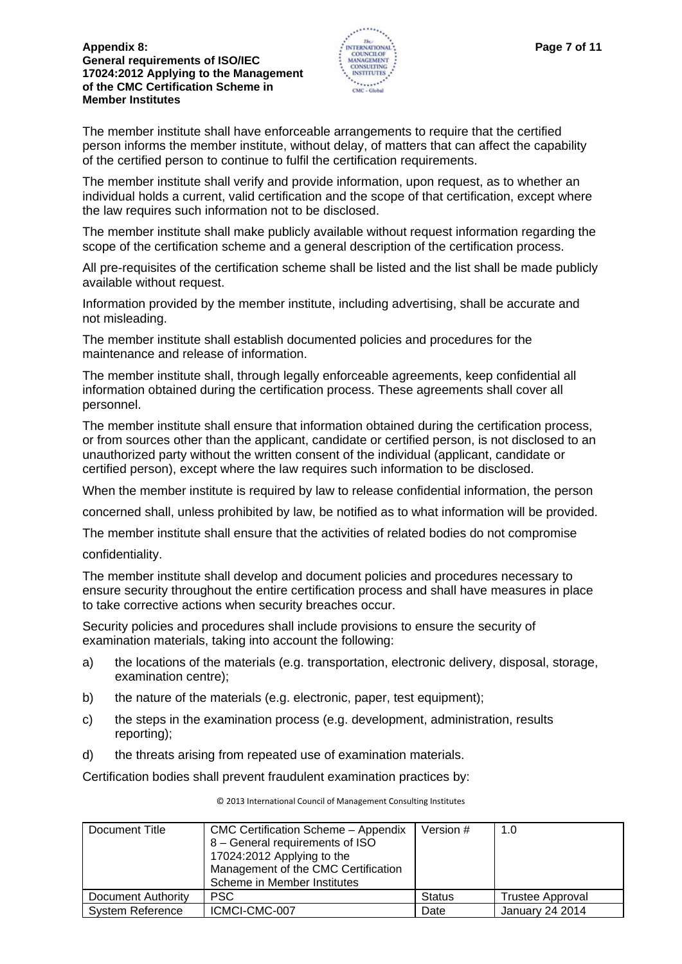

The member institute shall have enforceable arrangements to require that the certified person informs the member institute, without delay, of matters that can affect the capability of the certified person to continue to fulfil the certification requirements.

The member institute shall verify and provide information, upon request, as to whether an individual holds a current, valid certification and the scope of that certification, except where the law requires such information not to be disclosed.

The member institute shall make publicly available without request information regarding the scope of the certification scheme and a general description of the certification process.

All pre-requisites of the certification scheme shall be listed and the list shall be made publicly available without request.

Information provided by the member institute, including advertising, shall be accurate and not misleading.

The member institute shall establish documented policies and procedures for the maintenance and release of information.

The member institute shall, through legally enforceable agreements, keep confidential all information obtained during the certification process. These agreements shall cover all personnel.

The member institute shall ensure that information obtained during the certification process, or from sources other than the applicant, candidate or certified person, is not disclosed to an unauthorized party without the written consent of the individual (applicant, candidate or certified person), except where the law requires such information to be disclosed.

When the member institute is required by law to release confidential information, the person

concerned shall, unless prohibited by law, be notified as to what information will be provided.

The member institute shall ensure that the activities of related bodies do not compromise

confidentiality.

The member institute shall develop and document policies and procedures necessary to ensure security throughout the entire certification process and shall have measures in place to take corrective actions when security breaches occur.

Security policies and procedures shall include provisions to ensure the security of examination materials, taking into account the following:

- a) the locations of the materials (e.g. transportation, electronic delivery, disposal, storage, examination centre);
- b) the nature of the materials (e.g. electronic, paper, test equipment);
- c) the steps in the examination process (e.g. development, administration, results reporting);
- d) the threats arising from repeated use of examination materials.

Certification bodies shall prevent fraudulent examination practices by:

| Document Title          | CMC Certification Scheme - Appendix<br>8 – General requirements of ISO<br>17024:2012 Applying to the<br>Management of the CMC Certification | Version #     | 1.0              |
|-------------------------|---------------------------------------------------------------------------------------------------------------------------------------------|---------------|------------------|
|                         | Scheme in Member Institutes                                                                                                                 |               |                  |
| Document Authority      | <b>PSC</b>                                                                                                                                  | <b>Status</b> | Trustee Approval |
| <b>System Reference</b> | ICMCI-CMC-007                                                                                                                               | Date          | January 24 2014  |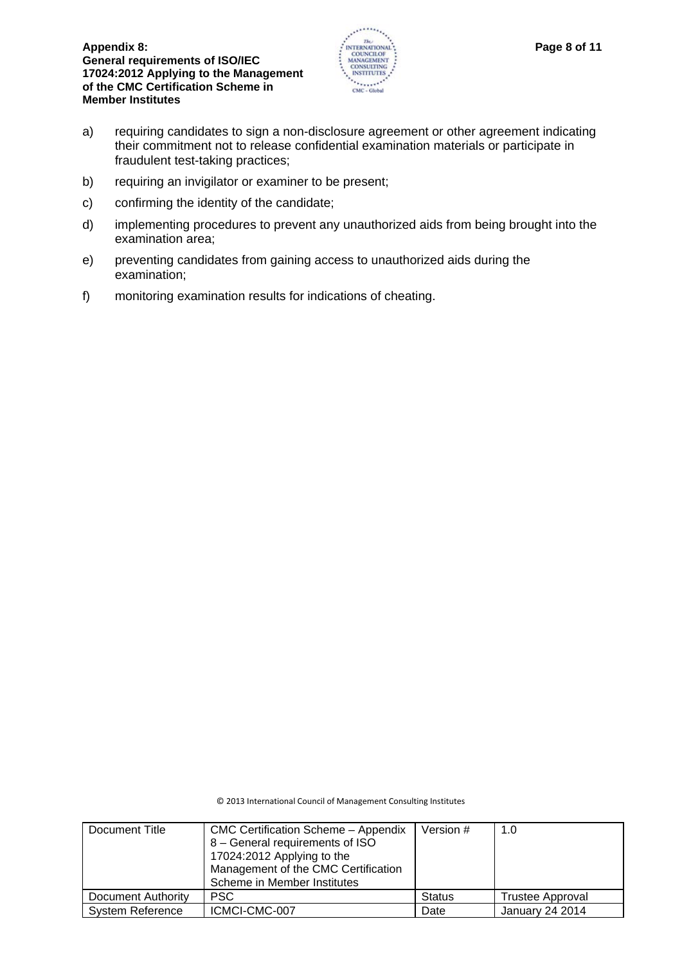

- a) requiring candidates to sign a non-disclosure agreement or other agreement indicating their commitment not to release confidential examination materials or participate in fraudulent test-taking practices;
- b) requiring an invigilator or examiner to be present;
- c) confirming the identity of the candidate;
- d) implementing procedures to prevent any unauthorized aids from being brought into the examination area;
- e) preventing candidates from gaining access to unauthorized aids during the examination;
- f) monitoring examination results for indications of cheating.

| Document Title          | <b>CMC Certification Scheme - Appendix</b><br>8 - General requirements of ISO<br>17024:2012 Applying to the<br>Management of the CMC Certification<br>Scheme in Member Institutes | Version #     | 1.0                     |
|-------------------------|-----------------------------------------------------------------------------------------------------------------------------------------------------------------------------------|---------------|-------------------------|
| Document Authority      | <b>PSC</b>                                                                                                                                                                        | <b>Status</b> | <b>Trustee Approval</b> |
| <b>System Reference</b> | ICMCI-CMC-007                                                                                                                                                                     | Date          | January 24 2014         |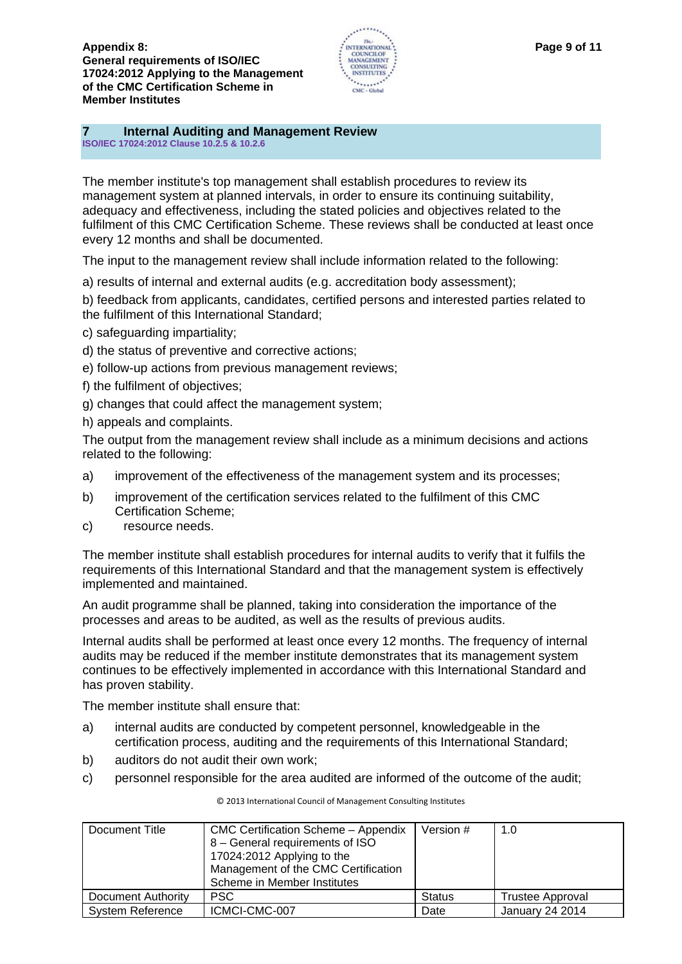

## **7 Internal Auditing and Management Review**

**ISO/IEC 17024:2012 Clause 10.2.5 & 10.2.6** 

The member institute's top management shall establish procedures to review its management system at planned intervals, in order to ensure its continuing suitability, adequacy and effectiveness, including the stated policies and objectives related to the fulfilment of this CMC Certification Scheme. These reviews shall be conducted at least once every 12 months and shall be documented.

The input to the management review shall include information related to the following:

a) results of internal and external audits (e.g. accreditation body assessment);

b) feedback from applicants, candidates, certified persons and interested parties related to the fulfilment of this International Standard;

- c) safeguarding impartiality;
- d) the status of preventive and corrective actions;
- e) follow-up actions from previous management reviews;
- f) the fulfilment of objectives;
- g) changes that could affect the management system;
- h) appeals and complaints.

The output from the management review shall include as a minimum decisions and actions related to the following:

- a) improvement of the effectiveness of the management system and its processes;
- b) improvement of the certification services related to the fulfilment of this CMC Certification Scheme;
- c) resource needs.

The member institute shall establish procedures for internal audits to verify that it fulfils the requirements of this International Standard and that the management system is effectively implemented and maintained.

An audit programme shall be planned, taking into consideration the importance of the processes and areas to be audited, as well as the results of previous audits.

Internal audits shall be performed at least once every 12 months. The frequency of internal audits may be reduced if the member institute demonstrates that its management system continues to be effectively implemented in accordance with this International Standard and has proven stability.

The member institute shall ensure that:

- a) internal audits are conducted by competent personnel, knowledgeable in the certification process, auditing and the requirements of this International Standard;
- b) auditors do not audit their own work;
- c) personnel responsible for the area audited are informed of the outcome of the audit;

| Document Title          | <b>CMC Certification Scheme - Appendix</b><br>8 - General requirements of ISO<br>17024:2012 Applying to the<br>Management of the CMC Certification<br>Scheme in Member Institutes | Version #     | 1.0                     |
|-------------------------|-----------------------------------------------------------------------------------------------------------------------------------------------------------------------------------|---------------|-------------------------|
| Document Authority      | <b>PSC</b>                                                                                                                                                                        | <b>Status</b> | <b>Trustee Approval</b> |
| <b>System Reference</b> | ICMCI-CMC-007                                                                                                                                                                     | Date          | January 24 2014         |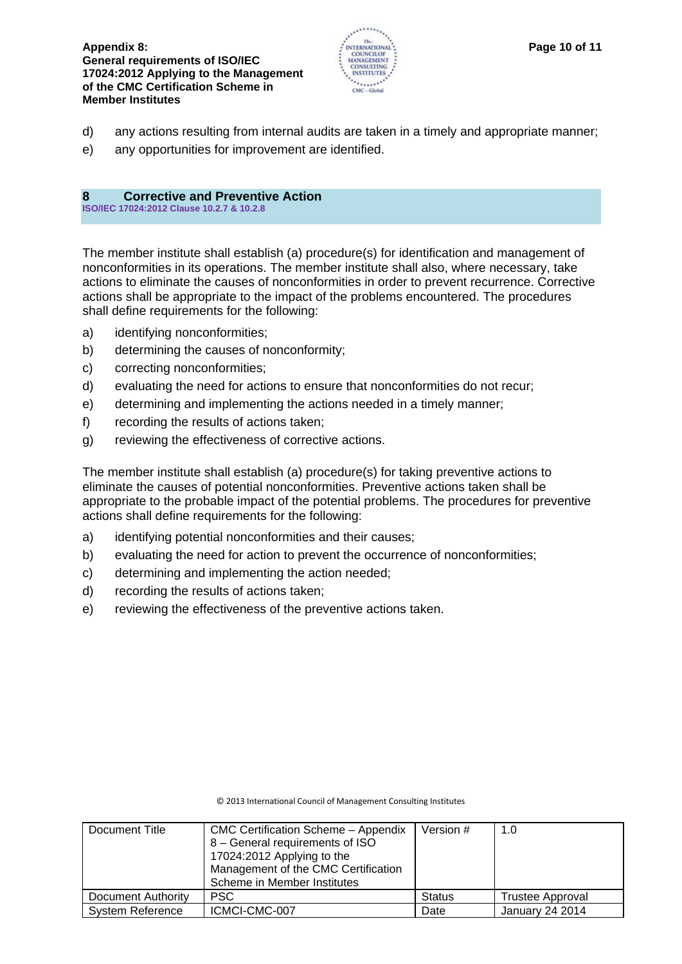

- d) any actions resulting from internal audits are taken in a timely and appropriate manner;
- e) any opportunities for improvement are identified.

## **8 Corrective and Preventive Action**

**ISO/IEC 17024:2012 Clause 10.2.7 & 10.2.8** 

The member institute shall establish (a) procedure(s) for identification and management of nonconformities in its operations. The member institute shall also, where necessary, take actions to eliminate the causes of nonconformities in order to prevent recurrence. Corrective actions shall be appropriate to the impact of the problems encountered. The procedures shall define requirements for the following:

- a) identifying nonconformities;
- b) determining the causes of nonconformity;
- c) correcting nonconformities;
- d) evaluating the need for actions to ensure that nonconformities do not recur;
- e) determining and implementing the actions needed in a timely manner;
- f) recording the results of actions taken;
- g) reviewing the effectiveness of corrective actions.

The member institute shall establish (a) procedure(s) for taking preventive actions to eliminate the causes of potential nonconformities. Preventive actions taken shall be appropriate to the probable impact of the potential problems. The procedures for preventive actions shall define requirements for the following:

- a) identifying potential nonconformities and their causes;
- b) evaluating the need for action to prevent the occurrence of nonconformities;
- c) determining and implementing the action needed;
- d) recording the results of actions taken;
- e) reviewing the effectiveness of the preventive actions taken.

| Document Title            | CMC Certification Scheme - Appendix<br>8 - General requirements of ISO<br>17024:2012 Applying to the<br>Management of the CMC Certification<br>Scheme in Member Institutes | Version #     | 1.0                     |
|---------------------------|----------------------------------------------------------------------------------------------------------------------------------------------------------------------------|---------------|-------------------------|
| <b>Document Authority</b> | <b>PSC</b>                                                                                                                                                                 | <b>Status</b> | <b>Trustee Approval</b> |
| <b>System Reference</b>   | ICMCI-CMC-007                                                                                                                                                              | Date          | <b>January 24 2014</b>  |